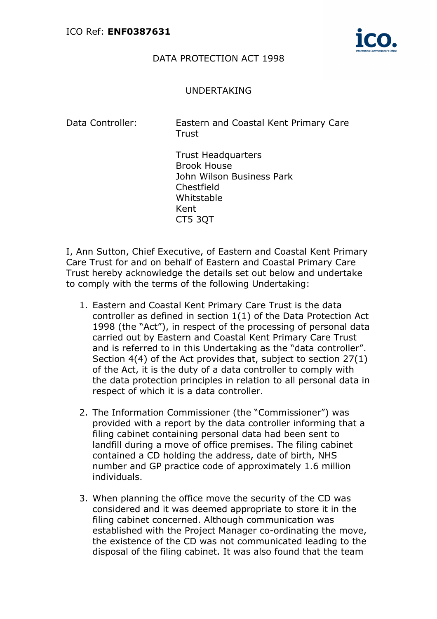

## DATA PROTECTION ACT 1998

## UNDERTAKING

Data Controller: Eastern and Coastal Kent Primary Care **Trust** 

> Trust Headquarters Brook House John Wilson Business Park Chestfield Whitstable Kent CT5 3QT

I, Ann Sutton, Chief Executive, of Eastern and Coastal Kent Primary Care Trust for and on behalf of Eastern and Coastal Primary Care Trust hereby acknowledge the details set out below and undertake to comply with the terms of the following Undertaking:

- 1. Eastern and Coastal Kent Primary Care Trust is the data controller as defined in section 1(1) of the Data Protection Act 1998 (the "Act"), in respect of the processing of personal data carried out by Eastern and Coastal Kent Primary Care Trust and is referred to in this Undertaking as the "data controller". Section 4(4) of the Act provides that, subject to section 27(1) of the Act, it is the duty of a data controller to comply with the data protection principles in relation to all personal data in respect of which it is a data controller.
- 2. The Information Commissioner (the "Commissioner") was provided with a report by the data controller informing that a filing cabinet containing personal data had been sent to landfill during a move of office premises. The filing cabinet contained a CD holding the address, date of birth, NHS number and GP practice code of approximately 1.6 million individuals.
- 3. When planning the office move the security of the CD was considered and it was deemed appropriate to store it in the filing cabinet concerned. Although communication was established with the Project Manager co-ordinating the move, the existence of the CD was not communicated leading to the disposal of the filing cabinet. It was also found that the team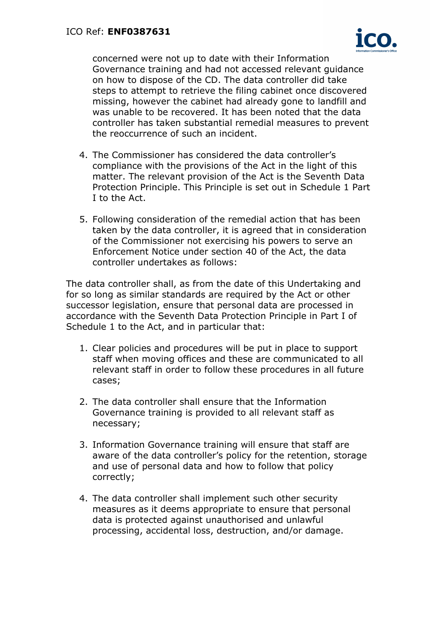

concerned were not up to date with their Information Governance training and had not accessed relevant guidance on how to dispose of the CD. The data controller did take steps to attempt to retrieve the filing cabinet once discovered missing, however the cabinet had already gone to landfill and was unable to be recovered. It has been noted that the data controller has taken substantial remedial measures to prevent the reoccurrence of such an incident.

- 4. The Commissioner has considered the data controller's compliance with the provisions of the Act in the light of this matter. The relevant provision of the Act is the Seventh Data Protection Principle. This Principle is set out in Schedule 1 Part I to the Act.
- 5. Following consideration of the remedial action that has been taken by the data controller, it is agreed that in consideration of the Commissioner not exercising his powers to serve an Enforcement Notice under section 40 of the Act, the data controller undertakes as follows:

The data controller shall, as from the date of this Undertaking and for so long as similar standards are required by the Act or other successor legislation, ensure that personal data are processed in accordance with the Seventh Data Protection Principle in Part I of Schedule 1 to the Act, and in particular that:

- 1. Clear policies and procedures will be put in place to support staff when moving offices and these are communicated to all relevant staff in order to follow these procedures in all future cases;
- 2. The data controller shall ensure that the Information Governance training is provided to all relevant staff as necessary;
- 3. Information Governance training will ensure that staff are aware of the data controller's policy for the retention, storage and use of personal data and how to follow that policy correctly;
- 4. The data controller shall implement such other security measures as it deems appropriate to ensure that personal data is protected against unauthorised and unlawful processing, accidental loss, destruction, and/or damage.